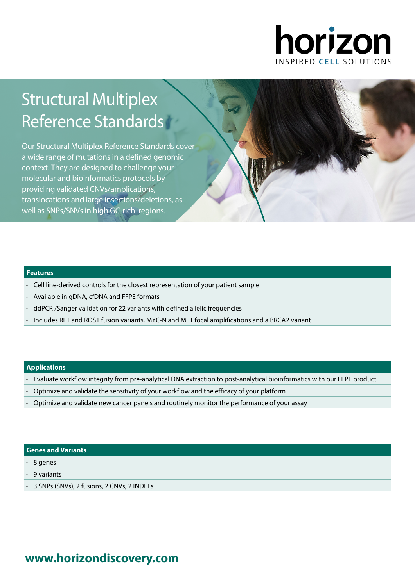

# Structural Multiplex Reference Standards

Our Structural Multiplex Reference Standards cover a wide range of mutations in a defined genomic context. They are designed to challenge your molecular and bioinformatics protocols by providing validated CNVs/amplications, translocations and large insertions/deletions, as well as SNPs/SNVs in high GC-rich regions.

### **Features**

- Cell line-derived controls for the closest representation of your patient sample
- Available in gDNA, cfDNA and FFPE formats
- ddPCR /Sanger validation for 22 variants with defined allelic frequencies
- Includes RET and ROS1 fusion variants, MYC-N and MET focal amplifications and a BRCA2 variant

### **Applications**

- Evaluate workflow integrity from pre-analytical DNA extraction to post-analytical bioinformatics with our FFPE product
- Optimize and validate the sensitivity of your workflow and the efficacy of your platform
- Optimize and validate new cancer panels and routinely monitor the performance of your assay

### **Genes and Variants**

- 8 genes
- 9 variants
- 3 SNPs (SNVs), 2 fusions, 2 CNVs, 2 INDELs

# **www.[horizondiscovery.com](www.horizondiscovery.com?utm_source=revisit&utm_medium=pdf&utm_campaign=dx)**